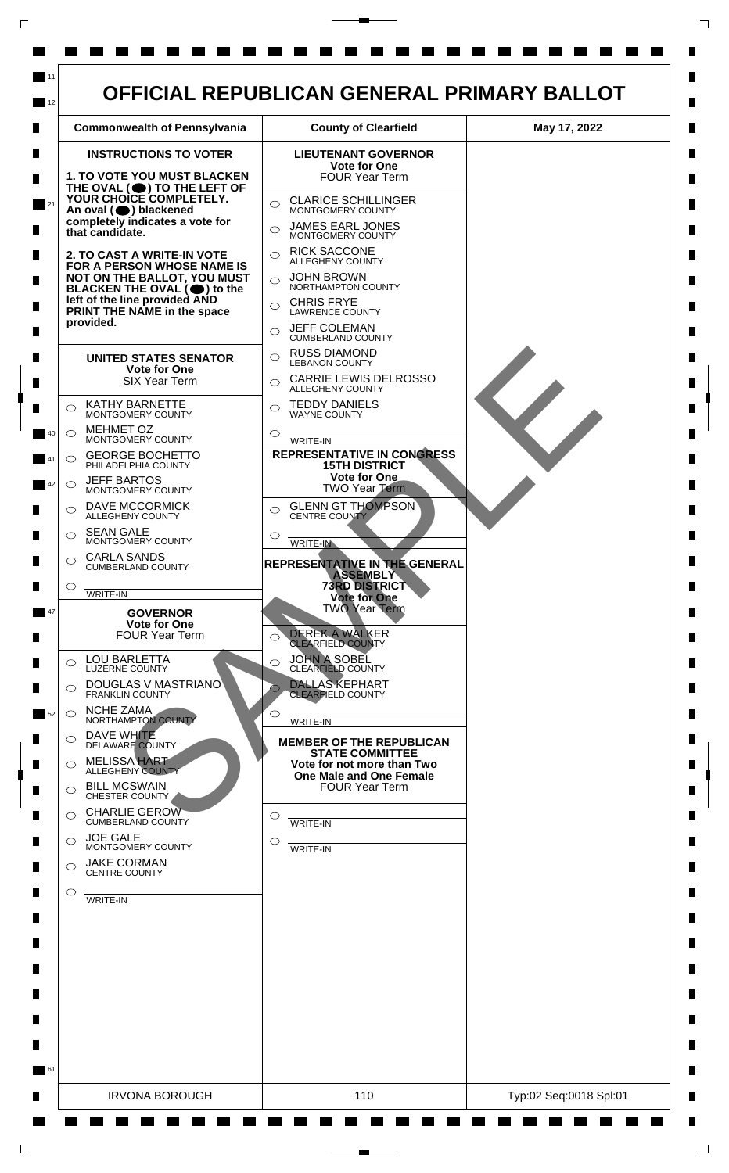

 $\mathsf{L}$ 

 $\Box$